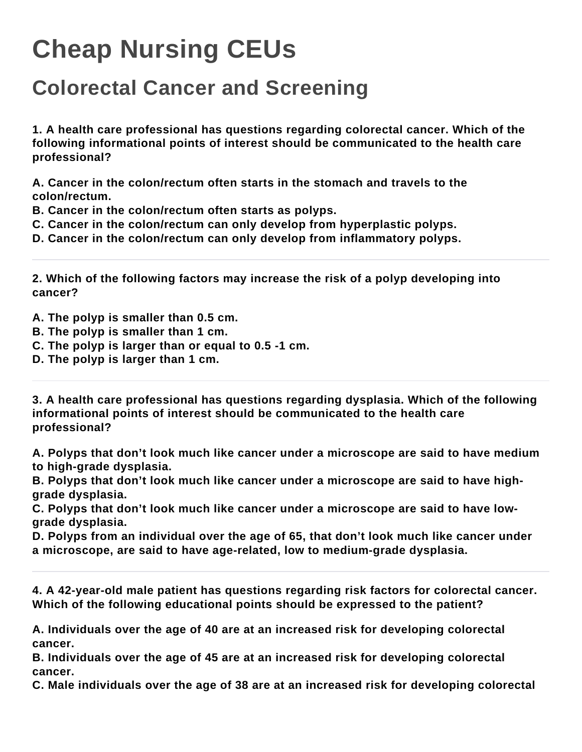## **Cheap Nursing CEUs**

## **Colorectal Cancer and Screening**

**1. A health care professional has questions regarding colorectal cancer. Which of the following informational points of interest should be communicated to the health care professional?**

**A. Cancer in the colon/rectum often starts in the stomach and travels to the colon/rectum.**

**B. Cancer in the colon/rectum often starts as polyps.**

**C. Cancer in the colon/rectum can only develop from hyperplastic polyps.**

**D. Cancer in the colon/rectum can only develop from inflammatory polyps.**

**2. Which of the following factors may increase the risk of a polyp developing into cancer?**

**A. The polyp is smaller than 0.5 cm.**

- **B. The polyp is smaller than 1 cm.**
- **C. The polyp is larger than or equal to 0.5 -1 cm.**
- **D. The polyp is larger than 1 cm.**

**3. A health care professional has questions regarding dysplasia. Which of the following informational points of interest should be communicated to the health care professional?**

**A. Polyps that don't look much like cancer under a microscope are said to have medium to high-grade dysplasia.**

**B. Polyps that don't look much like cancer under a microscope are said to have highgrade dysplasia.**

**C. Polyps that don't look much like cancer under a microscope are said to have lowgrade dysplasia.**

**D. Polyps from an individual over the age of 65, that don't look much like cancer under a microscope, are said to have age-related, low to medium-grade dysplasia.**

**4. A 42-year-old male patient has questions regarding risk factors for colorectal cancer. Which of the following educational points should be expressed to the patient?**

**A. Individuals over the age of 40 are at an increased risk for developing colorectal cancer.**

**B. Individuals over the age of 45 are at an increased risk for developing colorectal cancer.**

**C. Male individuals over the age of 38 are at an increased risk for developing colorectal**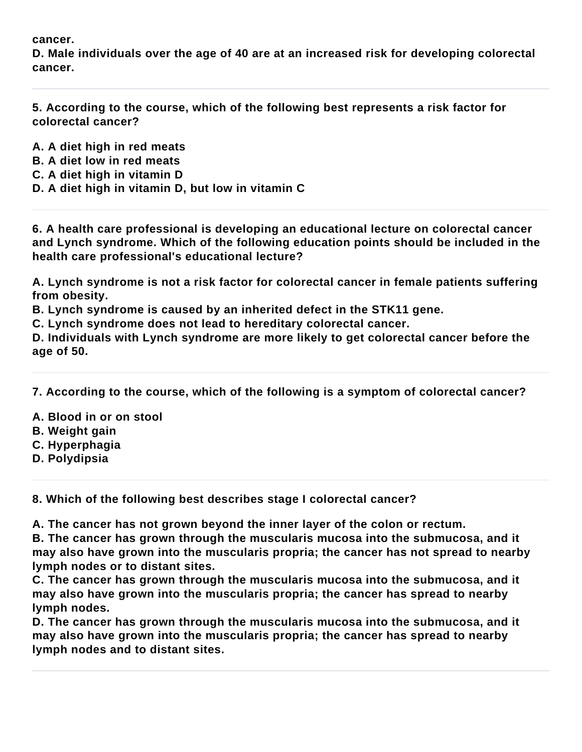**cancer.**

**D. Male individuals over the age of 40 are at an increased risk for developing colorectal cancer.**

**5. According to the course, which of the following best represents a risk factor for colorectal cancer?**

- **A. A diet high in red meats**
- **B. A diet low in red meats**
- **C. A diet high in vitamin D**
- **D. A diet high in vitamin D, but low in vitamin C**

**6. A health care professional is developing an educational lecture on colorectal cancer and Lynch syndrome. Which of the following education points should be included in the health care professional's educational lecture?**

**A. Lynch syndrome is not a risk factor for colorectal cancer in female patients suffering from obesity.**

**B. Lynch syndrome is caused by an inherited defect in the STK11 gene.**

**C. Lynch syndrome does not lead to hereditary colorectal cancer.**

**D. Individuals with Lynch syndrome are more likely to get colorectal cancer before the age of 50.**

**7. According to the course, which of the following is a symptom of colorectal cancer?**

**A. Blood in or on stool**

- **B. Weight gain**
- **C. Hyperphagia**
- **D. Polydipsia**

**8. Which of the following best describes stage I colorectal cancer?**

**A. The cancer has not grown beyond the inner layer of the colon or rectum.**

**B. The cancer has grown through the muscularis mucosa into the submucosa, and it may also have grown into the muscularis propria; the cancer has not spread to nearby lymph nodes or to distant sites.**

**C. The cancer has grown through the muscularis mucosa into the submucosa, and it may also have grown into the muscularis propria; the cancer has spread to nearby lymph nodes.**

**D. The cancer has grown through the muscularis mucosa into the submucosa, and it may also have grown into the muscularis propria; the cancer has spread to nearby lymph nodes and to distant sites.**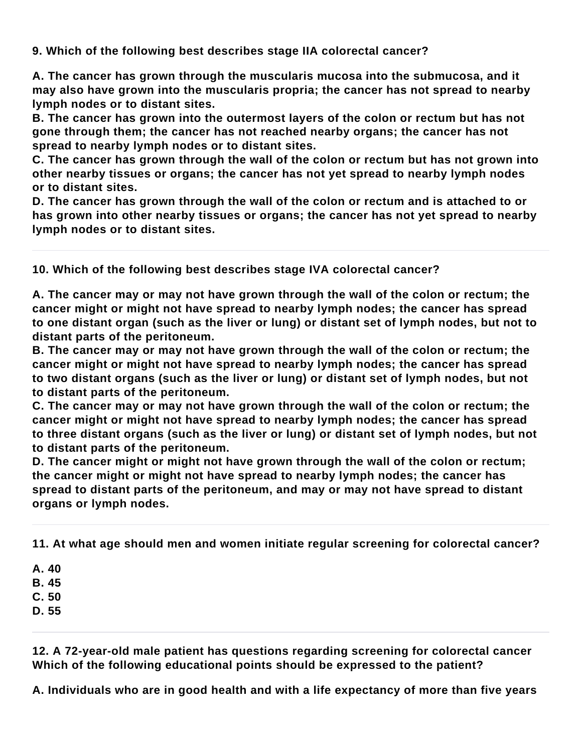**9. Which of the following best describes stage IIA colorectal cancer?**

**A. The cancer has grown through the muscularis mucosa into the submucosa, and it may also have grown into the muscularis propria; the cancer has not spread to nearby lymph nodes or to distant sites.**

**B. The cancer has grown into the outermost layers of the colon or rectum but has not gone through them; the cancer has not reached nearby organs; the cancer has not spread to nearby lymph nodes or to distant sites.**

**C. The cancer has grown through the wall of the colon or rectum but has not grown into other nearby tissues or organs; the cancer has not yet spread to nearby lymph nodes or to distant sites.**

**D. The cancer has grown through the wall of the colon or rectum and is attached to or has grown into other nearby tissues or organs; the cancer has not yet spread to nearby lymph nodes or to distant sites.**

**10. Which of the following best describes stage IVA colorectal cancer?**

**A. The cancer may or may not have grown through the wall of the colon or rectum; the cancer might or might not have spread to nearby lymph nodes; the cancer has spread to one distant organ (such as the liver or lung) or distant set of lymph nodes, but not to distant parts of the peritoneum.**

**B. The cancer may or may not have grown through the wall of the colon or rectum; the cancer might or might not have spread to nearby lymph nodes; the cancer has spread to two distant organs (such as the liver or lung) or distant set of lymph nodes, but not to distant parts of the peritoneum.**

**C. The cancer may or may not have grown through the wall of the colon or rectum; the cancer might or might not have spread to nearby lymph nodes; the cancer has spread to three distant organs (such as the liver or lung) or distant set of lymph nodes, but not to distant parts of the peritoneum.**

**D. The cancer might or might not have grown through the wall of the colon or rectum; the cancer might or might not have spread to nearby lymph nodes; the cancer has spread to distant parts of the peritoneum, and may or may not have spread to distant organs or lymph nodes.**

**11. At what age should men and women initiate regular screening for colorectal cancer?**

**A. 40**

**B. 45**

**C. 50**

**D. 55**

**12. A 72-year-old male patient has questions regarding screening for colorectal cancer Which of the following educational points should be expressed to the patient?**

**A. Individuals who are in good health and with a life expectancy of more than five years**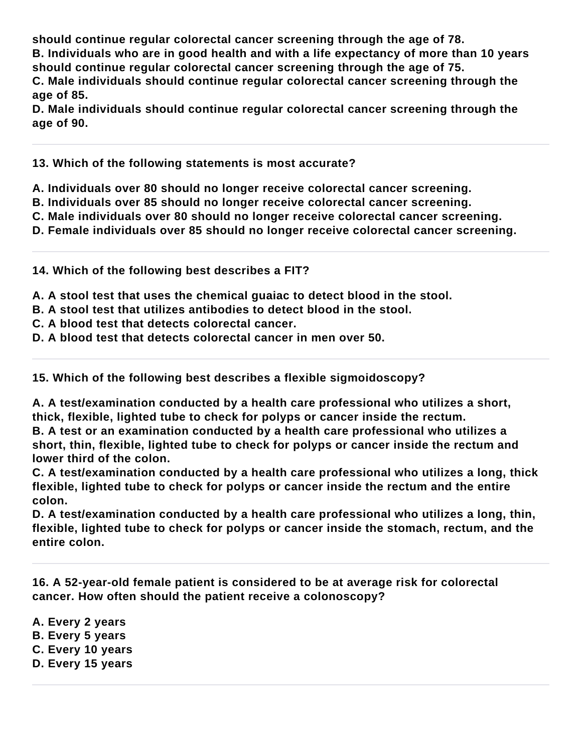**should continue regular colorectal cancer screening through the age of 78.**

**B. Individuals who are in good health and with a life expectancy of more than 10 years should continue regular colorectal cancer screening through the age of 75.**

**C. Male individuals should continue regular colorectal cancer screening through the age of 85.**

**D. Male individuals should continue regular colorectal cancer screening through the age of 90.**

**13. Which of the following statements is most accurate?**

**A. Individuals over 80 should no longer receive colorectal cancer screening.**

- **B. Individuals over 85 should no longer receive colorectal cancer screening.**
- **C. Male individuals over 80 should no longer receive colorectal cancer screening.**

**D. Female individuals over 85 should no longer receive colorectal cancer screening.**

**14. Which of the following best describes a FIT?**

**A. A stool test that uses the chemical guaiac to detect blood in the stool.**

- **B. A stool test that utilizes antibodies to detect blood in the stool.**
- **C. A blood test that detects colorectal cancer.**

**D. A blood test that detects colorectal cancer in men over 50.**

**15. Which of the following best describes a flexible sigmoidoscopy?**

**A. A test/examination conducted by a health care professional who utilizes a short, thick, flexible, lighted tube to check for polyps or cancer inside the rectum. B. A test or an examination conducted by a health care professional who utilizes a short, thin, flexible, lighted tube to check for polyps or cancer inside the rectum and** 

**lower third of the colon.**

**C. A test/examination conducted by a health care professional who utilizes a long, thick flexible, lighted tube to check for polyps or cancer inside the rectum and the entire colon.**

**D. A test/examination conducted by a health care professional who utilizes a long, thin, flexible, lighted tube to check for polyps or cancer inside the stomach, rectum, and the entire colon.**

**16. A 52-year-old female patient is considered to be at average risk for colorectal cancer. How often should the patient receive a colonoscopy?**

**A. Every 2 years B. Every 5 years C. Every 10 years D. Every 15 years**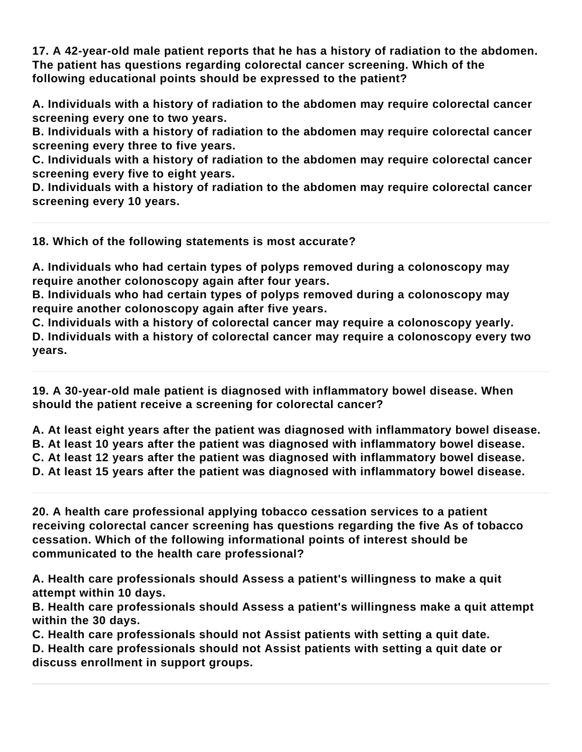**17. A 42-year-old male patient reports that he has a history of radiation to the abdomen. The patient has questions regarding colorectal cancer screening. Which of the following educational points should be expressed to the patient?**

**A. Individuals with a history of radiation to the abdomen may require colorectal cancer screening every one to two years.**

**B. Individuals with a history of radiation to the abdomen may require colorectal cancer screening every three to five years.**

**C. Individuals with a history of radiation to the abdomen may require colorectal cancer screening every five to eight years.**

**D. Individuals with a history of radiation to the abdomen may require colorectal cancer screening every 10 years.**

**18. Which of the following statements is most accurate?**

**A. Individuals who had certain types of polyps removed during a colonoscopy may require another colonoscopy again after four years.**

**B. Individuals who had certain types of polyps removed during a colonoscopy may require another colonoscopy again after five years.**

**C. Individuals with a history of colorectal cancer may require a colonoscopy yearly. D. Individuals with a history of colorectal cancer may require a colonoscopy every two years.**

**19. A 30-year-old male patient is diagnosed with inflammatory bowel disease. When should the patient receive a screening for colorectal cancer?**

**A. At least eight years after the patient was diagnosed with inflammatory bowel disease. B. At least 10 years after the patient was diagnosed with inflammatory bowel disease. C. At least 12 years after the patient was diagnosed with inflammatory bowel disease. D. At least 15 years after the patient was diagnosed with inflammatory bowel disease.**

**20. A health care professional applying tobacco cessation services to a patient receiving colorectal cancer screening has questions regarding the five As of tobacco cessation. Which of the following informational points of interest should be communicated to the health care professional?**

**A. Health care professionals should Assess a patient's willingness to make a quit attempt within 10 days.**

**B. Health care professionals should Assess a patient's willingness make a quit attempt within the 30 days.**

**C. Health care professionals should not Assist patients with setting a quit date.**

**D. Health care professionals should not Assist patients with setting a quit date or discuss enrollment in support groups.**